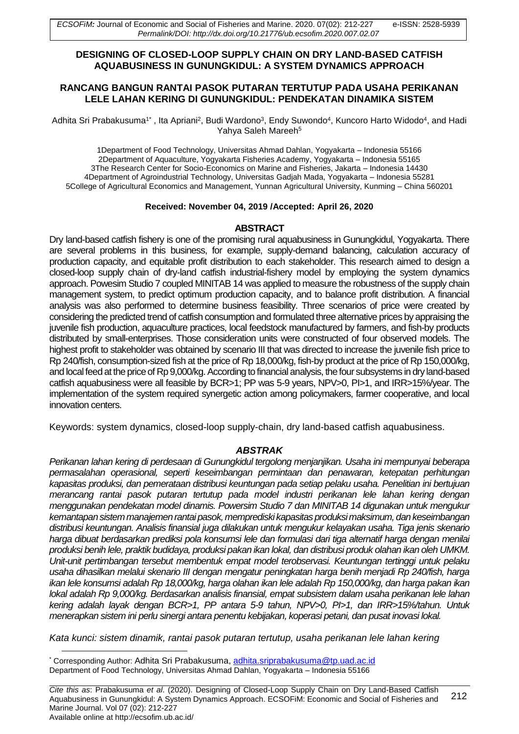## **DESIGNING OF CLOSED-LOOP SUPPLY CHAIN ON DRY LAND-BASED CATFISH AQUABUSINESS IN GUNUNGKIDUL: A SYSTEM DYNAMICS APPROACH**

## **RANCANG BANGUN RANTAI PASOK PUTARAN TERTUTUP PADA USAHA PERIKANAN LELE LAHAN KERING DI GUNUNGKIDUL: PENDEKATAN DINAMIKA SISTEM**

Adhita Sri Prabakusuma1\* , Ita Apriani<sup>2</sup>, Budi Wardono<sup>3</sup>, Endy Suwondo<sup>4</sup>, Kuncoro Harto Widodo<sup>4</sup>, and Hadi Yahya Saleh Mareeh<sup>5</sup>

1Department of Food Technology, Universitas Ahmad Dahlan, Yogyakarta – Indonesia 55166 2Department of Aquaculture, Yogyakarta Fisheries Academy, Yogyakarta – Indonesia 55165 3The Research Center for Socio-Economics on Marine and Fisheries, Jakarta – Indonesia 14430 4Department of Agroindustrial Technology, Universitas Gadjah Mada, Yogyakarta – Indonesia 55281 5College of Agricultural Economics and Management, Yunnan Agricultural University, Kunming – China 560201

### **Received: November 04, 2019 /Accepted: April 26, 2020**

### **ABSTRACT**

Dry land-based catfish fishery is one of the promising rural aquabusiness in Gunungkidul, Yogyakarta. There are several problems in this business, for example, supply-demand balancing, calculation accuracy of production capacity, and equitable profit distribution to each stakeholder. This research aimed to design a closed-loop supply chain of dry-land catfish industrial-fishery model by employing the system dynamics approach. Powesim Studio 7 coupled MINITAB 14 was applied to measure the robustness of the supply chain management system, to predict optimum production capacity, and to balance profit distribution. A financial analysis was also performed to determine business feasibility. Three scenarios of price were created by considering the predicted trend of catfish consumption and formulated three alternative prices by appraising the juvenile fish production, aquaculture practices, local feedstock manufactured by farmers, and fish-by products distributed by small-enterprises. Those consideration units were constructed of four observed models. The highest profit to stakeholder was obtained by scenario III that was directed to increase the juvenile fish price to Rp 240/fish, consumption-sized fish at the price of Rp 18,000/kg, fish-by product at the price of Rp 150,000/kg, and local feed at the price of Rp 9,000/kg. According to financial analysis, the four subsystems in dry land-based catfish aquabusiness were all feasible by BCR>1; PP was 5-9 years, NPV>0, PI>1, and IRR>15%/year. The implementation of the system required synergetic action among policymakers, farmer cooperative, and local innovation centers.

Keywords: system dynamics, closed-loop supply-chain, dry land-based catfish aquabusiness.

## *ABSTRAK*

*Perikanan lahan kering di perdesaan di Gunungkidul tergolong menjanjikan. Usaha ini mempunyai beberapa permasalahan operasional, seperti keseimbangan permintaan dan penawaran, ketepatan perhitungan kapasitas produksi, dan pemerataan distribusi keuntungan pada setiap pelaku usaha. Penelitian ini bertujuan merancang rantai pasok putaran tertutup pada model industri perikanan lele lahan kering dengan menggunakan pendekatan model dinamis. Powersim Studio 7 dan MINITAB 14 digunakan untuk mengukur kemantapan sistem manajemen rantai pasok, memprediski kapasitas produksi maksimum, dan keseimbangan distribusi keuntungan. Analisis finansial juga dilakukan untuk mengukur kelayakan usaha. Tiga jenis skenario harga dibuat berdasarkan prediksi pola konsumsi lele dan formulasi dari tiga alternatif harga dengan menilai produksi benih lele, praktik budidaya, produksi pakan ikan lokal, dan distribusi produk olahan ikan oleh UMKM. Unit-unit pertimbangan tersebut membentuk empat model terobservasi. Keuntungan tertinggi untuk pelaku usaha dihasilkan melalui skenario III dengan mengatur peningkatan harga benih menjadi Rp 240/fish, harga ikan lele konsumsi adalah Rp 18,000/kg, harga olahan ikan lele adalah Rp 150,000/kg, dan harga pakan ikan lokal adalah Rp 9,000/kg. Berdasarkan analisis finansial, empat subsistem dalam usaha perikanan lele lahan kering adalah layak dengan BCR>1, PP antara 5-9 tahun, NPV>0, PI>1, dan IRR>15%/tahun. Untuk menerapkan sistem ini perlu sinergi antara penentu kebijakan, koperasi petani, dan pusat inovasi lokal.*

*Kata kunci: sistem dinamik, rantai pasok putaran tertutup, usaha perikanan lele lahan kering*

<sup>1</sup> \* Corresponding Author: Adhita Sri Prabakusuma, [adhita.sriprabakusuma@tp.uad.ac.id](mailto:adhita.sriprabakusuma@tp.uad.ac.id)  Department of Food Technology, Universitas Ahmad Dahlan, Yogyakarta – Indonesia 55166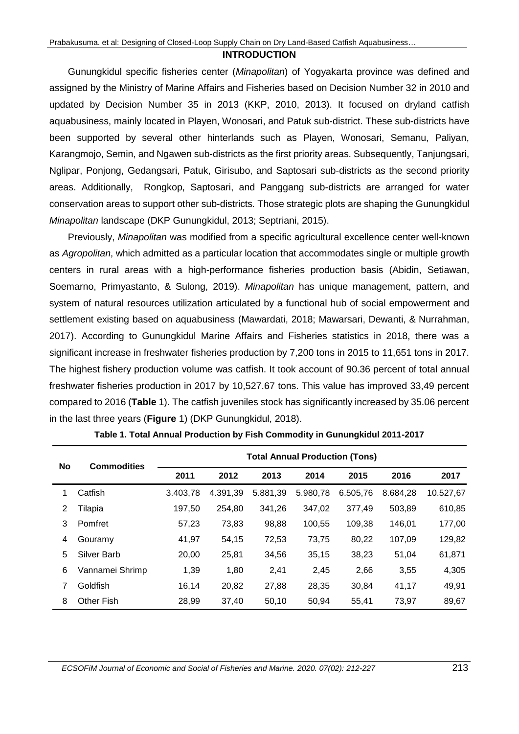#### **INTRODUCTION**

Gunungkidul specific fisheries center (*Minapolitan*) of Yogyakarta province was defined and assigned by the Ministry of Marine Affairs and Fisheries based on Decision Number 32 in 2010 and updated by Decision Number 35 in 2013 (KKP, 2010, 2013). It focused on dryland catfish aquabusiness, mainly located in Playen, Wonosari, and Patuk sub-district. These sub-districts have been supported by several other hinterlands such as Playen, Wonosari, Semanu, Paliyan, Karangmojo, Semin, and Ngawen sub-districts as the first priority areas. Subsequently, Tanjungsari, Nglipar, Ponjong, Gedangsari, Patuk, Girisubo, and Saptosari sub-districts as the second priority areas. Additionally, Rongkop, Saptosari, and Panggang sub-districts are arranged for water conservation areas to support other sub-districts*.* Those strategic plots are shaping the Gunungkidul *Minapolitan* landscape (DKP Gunungkidul, 2013; Septriani, 2015).

Previously, *Minapolitan* was modified from a specific agricultural excellence center well-known as *Agropolitan*, which admitted as a particular location that accommodates single or multiple growth centers in rural areas with a high-performance fisheries production basis (Abidin, Setiawan, Soemarno, Primyastanto, & Sulong, 2019). *Minapolitan* has unique management, pattern, and system of natural resources utilization articulated by a functional hub of social empowerment and settlement existing based on aquabusiness (Mawardati, 2018; Mawarsari, Dewanti, & Nurrahman, 2017). According to Gunungkidul Marine Affairs and Fisheries statistics in 2018, there was a significant increase in freshwater fisheries production by 7,200 tons in 2015 to 11,651 tons in 2017. The highest fishery production volume was catfish. It took account of 90.36 percent of total annual freshwater fisheries production in 2017 by 10,527.67 tons. This value has improved 33,49 percent compared to 2016 (**Table** 1). The catfish juveniles stock has significantly increased by 35.06 percent in the last three years (**Figure** 1) (DKP Gunungkidul, 2018).

| No | <b>Commodities</b> | <b>Total Annual Production (Tons)</b> |          |          |          |          |          |           |
|----|--------------------|---------------------------------------|----------|----------|----------|----------|----------|-----------|
|    |                    | 2011                                  | 2012     | 2013     | 2014     | 2015     | 2016     | 2017      |
|    | Catfish            | 3.403.78                              | 4.391.39 | 5.881,39 | 5.980,78 | 6.505,76 | 8.684,28 | 10.527,67 |
| 2  | Tilapia            | 197,50                                | 254,80   | 341,26   | 347,02   | 377,49   | 503,89   | 610,85    |
| 3  | Pomfret            | 57,23                                 | 73,83    | 98,88    | 100,55   | 109,38   | 146,01   | 177,00    |
| 4  | Gouramy            | 41,97                                 | 54,15    | 72,53    | 73,75    | 80,22    | 107,09   | 129,82    |
| 5  | Silver Barb        | 20,00                                 | 25,81    | 34,56    | 35,15    | 38,23    | 51,04    | 61,871    |
| 6  | Vannamei Shrimp    | 1,39                                  | 1,80     | 2,41     | 2,45     | 2,66     | 3,55     | 4,305     |
| 7  | Goldfish           | 16,14                                 | 20,82    | 27,88    | 28,35    | 30,84    | 41,17    | 49,91     |
| 8  | <b>Other Fish</b>  | 28,99                                 | 37.40    | 50.10    | 50.94    | 55,41    | 73,97    | 89,67     |

**Table 1. Total Annual Production by Fish Commodity in Gunungkidul 2011-2017**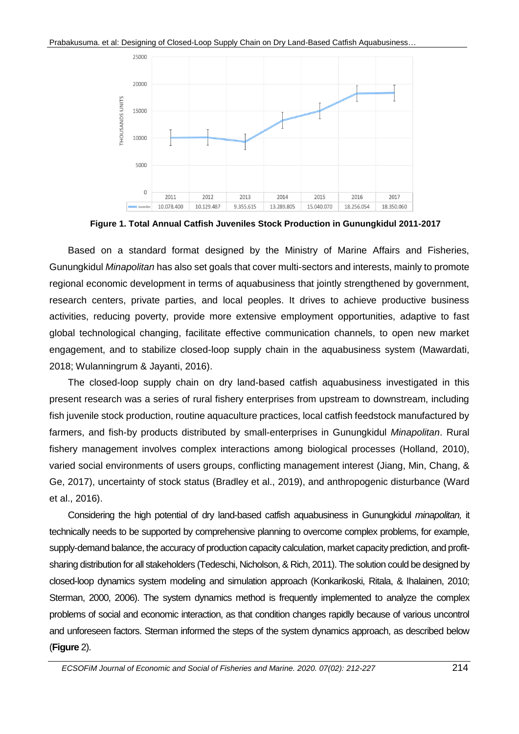

**Figure 1. Total Annual Catfish Juveniles Stock Production in Gunungkidul 2011-2017**

Based on a standard format designed by the Ministry of Marine Affairs and Fisheries, Gunungkidul *Minapolitan* has also set goals that cover multi-sectors and interests, mainly to promote regional economic development in terms of aquabusiness that jointly strengthened by government, research centers, private parties, and local peoples. It drives to achieve productive business activities, reducing poverty, provide more extensive employment opportunities, adaptive to fast global technological changing, facilitate effective communication channels, to open new market engagement, and to stabilize closed-loop supply chain in the aquabusiness system (Mawardati, 2018; Wulanningrum & Jayanti, 2016).

The closed-loop supply chain on dry land-based catfish aquabusiness investigated in this present research was a series of rural fishery enterprises from upstream to downstream, including fish juvenile stock production, routine aquaculture practices, local catfish feedstock manufactured by farmers, and fish-by products distributed by small-enterprises in Gunungkidul *Minapolitan*. Rural fishery management involves complex interactions among biological processes (Holland, 2010), varied social environments of users groups, conflicting management interest (Jiang, Min, Chang, & Ge, 2017), uncertainty of stock status (Bradley et al., 2019), and anthropogenic disturbance (Ward et al., 2016).

Considering the high potential of dry land-based catfish aquabusiness in Gunungkidul *minapolitan,* it technically needs to be supported by comprehensive planning to overcome complex problems, for example, supply-demand balance, the accuracy of production capacity calculation, market capacity prediction, and profitsharing distribution for all stakeholders (Tedeschi, Nicholson, & Rich, 2011). The solution could be designed by closed-loop dynamics system modeling and simulation approach (Konkarikoski, Ritala, & Ihalainen, 2010; Sterman, 2000, 2006). The system dynamics method is frequently implemented to analyze the complex problems of social and economic interaction, as that condition changes rapidly because of various uncontrol and unforeseen factors. Sterman informed the steps of the system dynamics approach, as described below (**Figure** 2).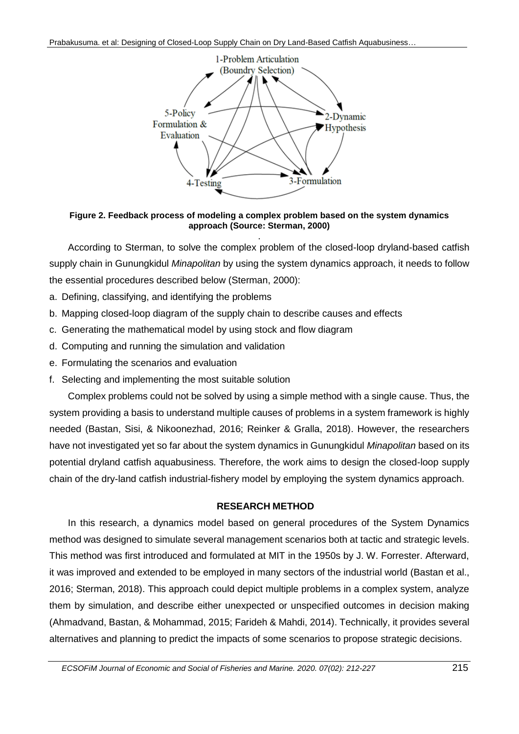

**Figure 2. Feedback process of modeling a complex problem based on the system dynamics approach (Source: Sterman, 2000)**

. According to Sterman, to solve the complex problem of the closed-loop dryland-based catfish supply chain in Gunungkidul *Minapolitan* by using the system dynamics approach, it needs to follow the essential procedures described below (Sterman, 2000):

- a. Defining, classifying, and identifying the problems
- b. Mapping closed-loop diagram of the supply chain to describe causes and effects
- c. Generating the mathematical model by using stock and flow diagram
- d. Computing and running the simulation and validation
- e. Formulating the scenarios and evaluation
- f. Selecting and implementing the most suitable solution

Complex problems could not be solved by using a simple method with a single cause. Thus, the system providing a basis to understand multiple causes of problems in a system framework is highly needed (Bastan, Sisi, & Nikoonezhad, 2016; Reinker & Gralla, 2018). However, the researchers have not investigated yet so far about the system dynamics in Gunungkidul *Minapolitan* based on its potential dryland catfish aquabusiness. Therefore, the work aims to design the closed-loop supply chain of the dry-land catfish industrial-fishery model by employing the system dynamics approach.

# **RESEARCH METHOD**

In this research, a dynamics model based on general procedures of the System Dynamics method was designed to simulate several management scenarios both at tactic and strategic levels. This method was first introduced and formulated at MIT in the 1950s by J. W. Forrester. Afterward, it was improved and extended to be employed in many sectors of the industrial world (Bastan et al., 2016; Sterman, 2018). This approach could depict multiple problems in a complex system, analyze them by simulation, and describe either unexpected or unspecified outcomes in decision making (Ahmadvand, Bastan, & Mohammad, 2015; Farideh & Mahdi, 2014). Technically, it provides several alternatives and planning to predict the impacts of some scenarios to propose strategic decisions.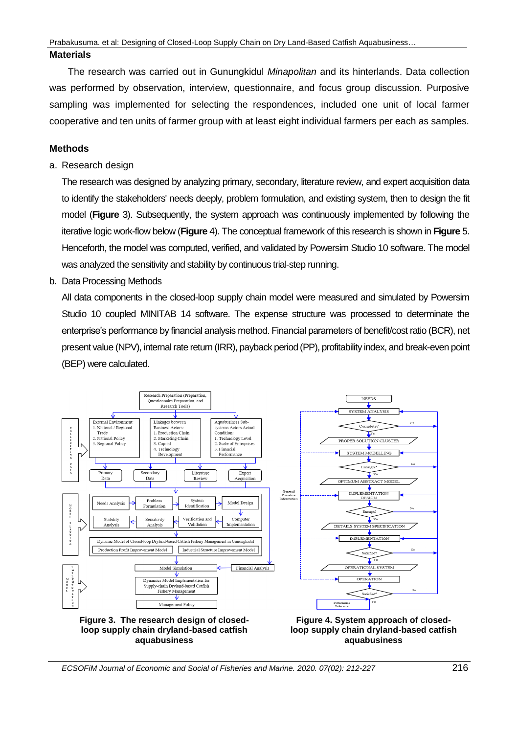## **Materials**

The research was carried out in Gunungkidul *Minapolitan* and its hinterlands. Data collection was performed by observation, interview, questionnaire, and focus group discussion. Purposive sampling was implemented for selecting the respondences, included one unit of local farmer cooperative and ten units of farmer group with at least eight individual farmers per each as samples.

# **Methods**

a. Research design

The research was designed by analyzing primary, secondary, literature review, and expert acquisition data to identify the stakeholders' needs deeply, problem formulation, and existing system, then to design the fit model (**Figure** 3). Subsequently, the system approach was continuously implemented by following the iterative logic work-flow below (**Figure** 4). The conceptual framework of this research is shown in **Figure** 5. Henceforth, the model was computed, verified, and validated by Powersim Studio 10 software. The model was analyzed the sensitivity and stability by continuous trial-step running.

b. Data Processing Methods

All data components in the closed-loop supply chain model were measured and simulated by Powersim Studio 10 coupled MINITAB 14 software. The expense structure was processed to determinate the enterprise's performance by financial analysis method. Financial parameters of benefit/cost ratio (BCR), net present value (NPV), internal rate return (IRR), payback period (PP), profitability index, and break-even point (BEP) were calculated.



*ECSOFiM Journal of Economic and Social of Fisheries and Marine. 2020. 07(02): 212-227* 216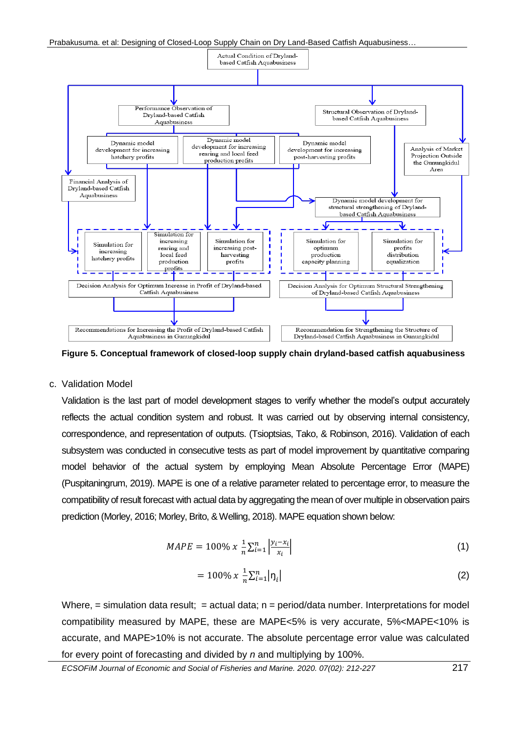

**Figure 5. Conceptual framework of closed-loop supply chain dryland-based catfish aquabusiness**

### c. Validation Model

Validation is the last part of model development stages to verify whether the model's output accurately reflects the actual condition system and robust. It was carried out by observing internal consistency, correspondence, and representation of outputs. (Tsioptsias, Tako, & Robinson, 2016). Validation of each subsystem was conducted in consecutive tests as part of model improvement by quantitative comparing model behavior of the actual system by employing Mean Absolute Percentage Error (MAPE) (Puspitaningrum, 2019). MAPE is one of a relative parameter related to percentage error, to measure the compatibility of result forecast with actual data by aggregating the mean of over multiple in observation pairs prediction (Morley, 2016; Morley, Brito, & Welling, 2018). MAPE equation shown below:

$$
MAPE = 100\% \; x \; \frac{1}{n} \sum_{i=1}^{n} \left| \frac{y_i - x_i}{x_i} \right| \tag{1}
$$

$$
= 100\% \; x \; \frac{1}{n} \sum_{i=1}^{n} |\eta_i| \tag{2}
$$

Where,  $=$  simulation data result;  $=$  actual data;  $n =$  period/data number. Interpretations for model compatibility measured by MAPE, these are MAPE<5% is very accurate, 5%<MAPE<10% is accurate, and MAPE>10% is not accurate. The absolute percentage error value was calculated for every point of forecasting and divided by *n* and multiplying by 100%.

*ECSOFiM Journal of Economic and Social of Fisheries and Marine. 2020. 07(02): 212-227* 217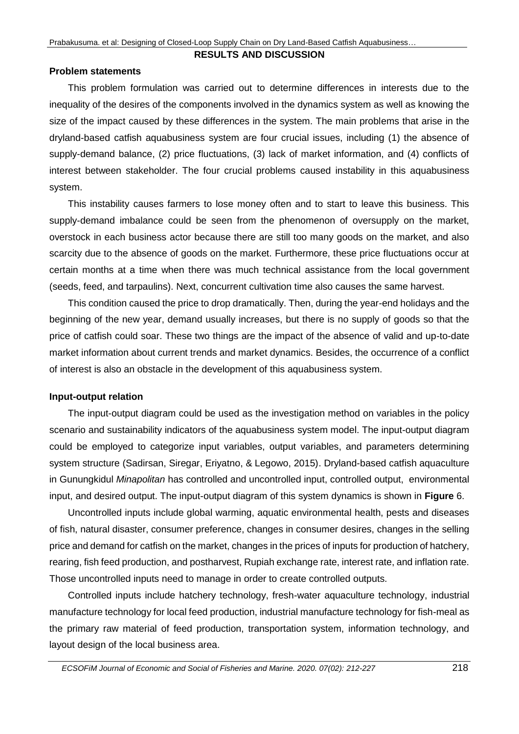#### **RESULTS AND DISCUSSION**

### **Problem statements**

This problem formulation was carried out to determine differences in interests due to the inequality of the desires of the components involved in the dynamics system as well as knowing the size of the impact caused by these differences in the system. The main problems that arise in the dryland-based catfish aquabusiness system are four crucial issues, including (1) the absence of supply-demand balance, (2) price fluctuations, (3) lack of market information, and (4) conflicts of interest between stakeholder. The four crucial problems caused instability in this aquabusiness system.

This instability causes farmers to lose money often and to start to leave this business. This supply-demand imbalance could be seen from the phenomenon of oversupply on the market, overstock in each business actor because there are still too many goods on the market, and also scarcity due to the absence of goods on the market. Furthermore, these price fluctuations occur at certain months at a time when there was much technical assistance from the local government (seeds, feed, and tarpaulins). Next, concurrent cultivation time also causes the same harvest.

This condition caused the price to drop dramatically. Then, during the year-end holidays and the beginning of the new year, demand usually increases, but there is no supply of goods so that the price of catfish could soar. These two things are the impact of the absence of valid and up-to-date market information about current trends and market dynamics. Besides, the occurrence of a conflict of interest is also an obstacle in the development of this aquabusiness system.

## **Input-output relation**

The input-output diagram could be used as the investigation method on variables in the policy scenario and sustainability indicators of the aquabusiness system model. The input-output diagram could be employed to categorize input variables, output variables, and parameters determining system structure (Sadirsan, Siregar, Eriyatno, & Legowo, 2015). Dryland-based catfish aquaculture in Gunungkidul *Minapolitan* has controlled and uncontrolled input, controlled output, environmental input, and desired output. The input-output diagram of this system dynamics is shown in **Figure** 6.

Uncontrolled inputs include global warming, aquatic environmental health, pests and diseases of fish, natural disaster, consumer preference, changes in consumer desires, changes in the selling price and demand for catfish on the market, changes in the prices of inputs for production of hatchery, rearing, fish feed production, and postharvest, Rupiah exchange rate, interest rate, and inflation rate. Those uncontrolled inputs need to manage in order to create controlled outputs.

Controlled inputs include hatchery technology, fresh-water aquaculture technology, industrial manufacture technology for local feed production, industrial manufacture technology for fish-meal as the primary raw material of feed production, transportation system, information technology, and layout design of the local business area.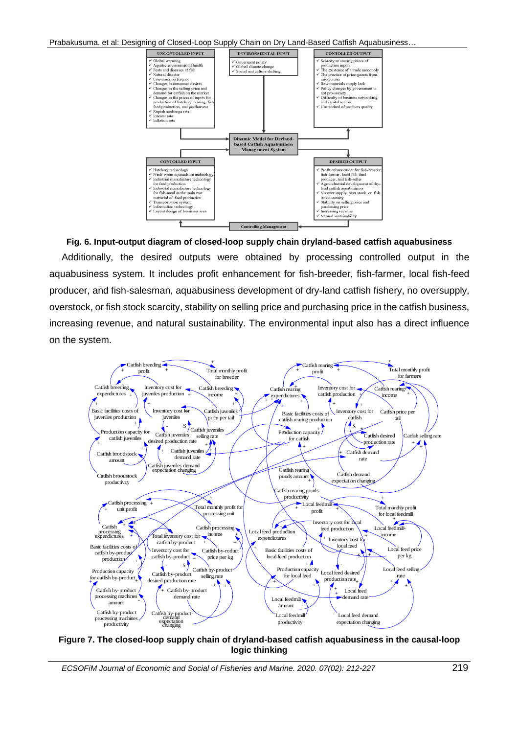

**Fig. 6. Input-output diagram of closed-loop supply chain dryland-based catfish aquabusiness** Additionally, the desired outputs were obtained by processing controlled output in the aquabusiness system. It includes profit enhancement for fish-breeder, fish-farmer, local fish-feed producer, and fish-salesman, aquabusiness development of dry-land catfish fishery, no oversupply, overstock, or fish stock scarcity, stability on selling price and purchasing price in the catfish business, increasing revenue, and natural sustainability. The environmental input also has a direct influence on the system.



**Figure 7. The closed-loop supply chain of dryland-based catfish aquabusiness in the causal-loop logic thinking**

*ECSOFiM Journal of Economic and Social of Fisheries and Marine. 2020. 07(02): 212-227* 219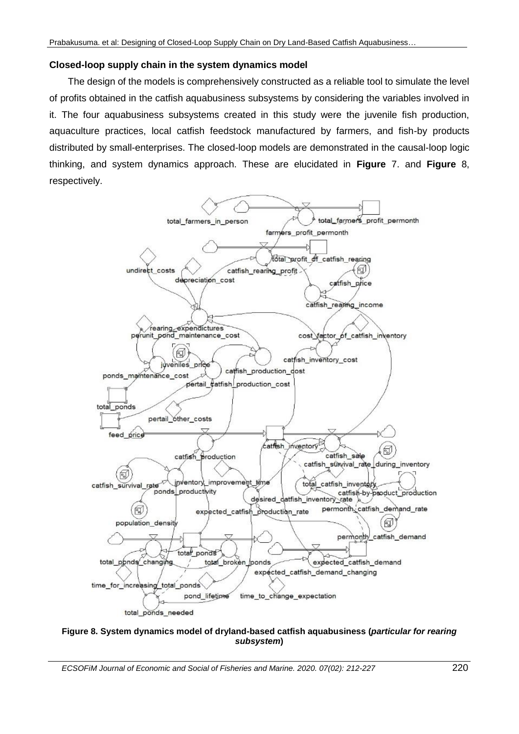## **Closed-loop supply chain in the system dynamics model**

The design of the models is comprehensively constructed as a reliable tool to simulate the level of profits obtained in the catfish aquabusiness subsystems by considering the variables involved in it. The four aquabusiness subsystems created in this study were the juvenile fish production, aquaculture practices, local catfish feedstock manufactured by farmers, and fish-by products distributed by small-enterprises. The closed-loop models are demonstrated in the causal-loop logic thinking, and system dynamics approach. These are elucidated in **Figure** 7. and **Figure** 8, respectively.



### **Figure 8. System dynamics model of dryland-based catfish aquabusiness (***particular for rearing subsystem***)**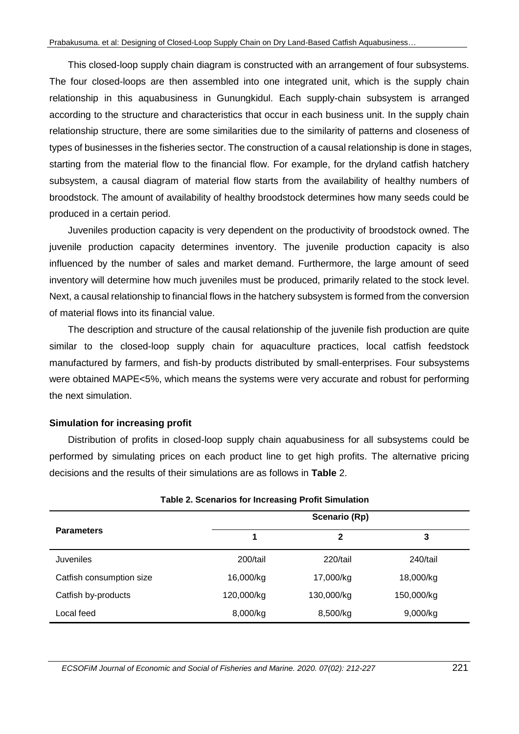This closed-loop supply chain diagram is constructed with an arrangement of four subsystems. The four closed-loops are then assembled into one integrated unit, which is the supply chain relationship in this aquabusiness in Gunungkidul. Each supply-chain subsystem is arranged according to the structure and characteristics that occur in each business unit. In the supply chain relationship structure, there are some similarities due to the similarity of patterns and closeness of types of businesses in the fisheries sector. The construction of a causal relationship is done in stages, starting from the material flow to the financial flow. For example, for the dryland catfish hatchery subsystem, a causal diagram of material flow starts from the availability of healthy numbers of broodstock. The amount of availability of healthy broodstock determines how many seeds could be produced in a certain period.

Juveniles production capacity is very dependent on the productivity of broodstock owned. The juvenile production capacity determines inventory. The juvenile production capacity is also influenced by the number of sales and market demand. Furthermore, the large amount of seed inventory will determine how much juveniles must be produced, primarily related to the stock level. Next, a causal relationship to financial flows in the hatchery subsystem is formed from the conversion of material flows into its financial value.

The description and structure of the causal relationship of the juvenile fish production are quite similar to the closed-loop supply chain for aquaculture practices, local catfish feedstock manufactured by farmers, and fish-by products distributed by small-enterprises. Four subsystems were obtained MAPE<5%, which means the systems were very accurate and robust for performing the next simulation.

# **Simulation for increasing profit**

Distribution of profits in closed-loop supply chain aquabusiness for all subsystems could be performed by simulating prices on each product line to get high profits. The alternative pricing decisions and the results of their simulations are as follows in **Table** 2.

| Table 2. Scenarios for Increasing Profit Simulation |               |              |            |  |  |  |
|-----------------------------------------------------|---------------|--------------|------------|--|--|--|
|                                                     | Scenario (Rp) |              |            |  |  |  |
| <b>Parameters</b>                                   | 1             | $\mathbf{2}$ | 3          |  |  |  |
| <b>Juveniles</b>                                    | 200/tail      | 220/tail     | 240/tail   |  |  |  |
| Catfish consumption size                            | 16,000/kg     | 17,000/kg    | 18,000/kg  |  |  |  |
| Catfish by-products                                 | 120,000/kg    | 130,000/kg   | 150,000/kg |  |  |  |
| Local feed                                          | 8,000/kg      | 8,500/kg     | 9,000/kg   |  |  |  |

**Table 2. Scenarios for Increasing Profit Simulation**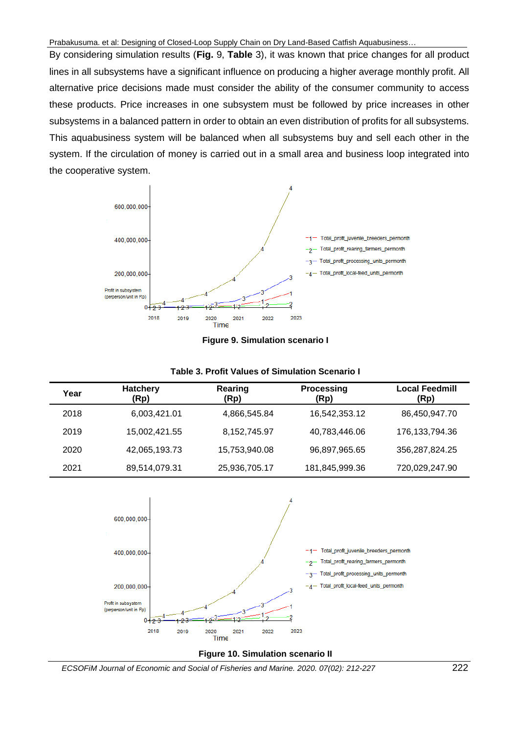By considering simulation results (**Fig.** 9, **Table** 3), it was known that price changes for all product lines in all subsystems have a significant influence on producing a higher average monthly profit. All alternative price decisions made must consider the ability of the consumer community to access these products. Price increases in one subsystem must be followed by price increases in other subsystems in a balanced pattern in order to obtain an even distribution of profits for all subsystems. This aquabusiness system will be balanced when all subsystems buy and sell each other in the system. If the circulation of money is carried out in a small area and business loop integrated into the cooperative system.





|  |  | <b>Table 3. Profit Values of Simulation Scenario I</b> |  |
|--|--|--------------------------------------------------------|--|
|--|--|--------------------------------------------------------|--|

| Year | <b>Hatchery</b><br>(Rp) | Rearing<br>(Rp) | <b>Processing</b><br>(Rp) | <b>Local Feedmill</b><br>(Rp) |
|------|-------------------------|-----------------|---------------------------|-------------------------------|
| 2018 | 6,003,421.01            | 4,866,545.84    | 16,542,353.12             | 86,450,947.70                 |
| 2019 | 15,002,421.55           | 8,152,745.97    | 40,783,446.06             | 176, 133, 794. 36             |
| 2020 | 42,065,193.73           | 15,753,940.08   | 96,897,965.65             | 356,287,824.25                |
| 2021 | 89,514,079.31           | 25,936,705.17   | 181,845,999.36            | 720,029,247.90                |



**Figure 10. Simulation scenario II**

*ECSOFiM Journal of Economic and Social of Fisheries and Marine. 2020. 07(02): 212-227* 222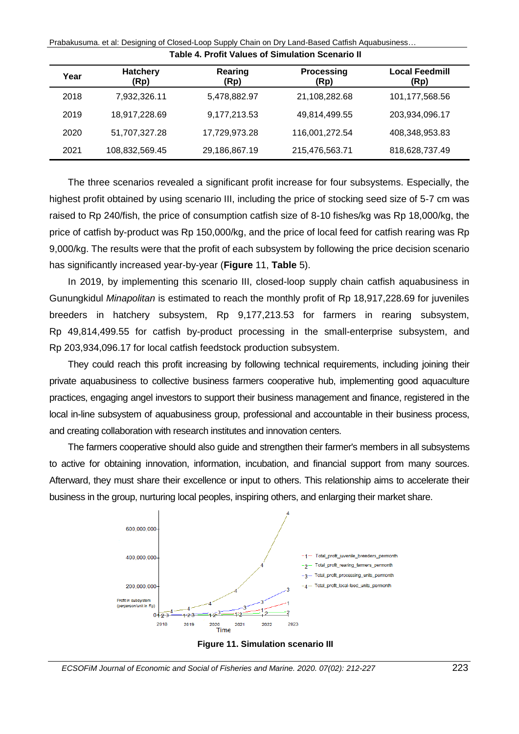| Table 4. Profit Values of Simulation Scenario II |                         |                 |                           |                               |  |  |
|--------------------------------------------------|-------------------------|-----------------|---------------------------|-------------------------------|--|--|
| Year                                             | <b>Hatchery</b><br>(Rp) | Rearing<br>(Rp) | <b>Processing</b><br>(Rp) | <b>Local Feedmill</b><br>(Rp) |  |  |
| 2018                                             | 7,932,326.11            | 5,478,882.97    | 21,108,282.68             | 101,177,568.56                |  |  |
| 2019                                             | 18,917,228.69           | 9,177,213.53    | 49,814,499.55             | 203,934,096.17                |  |  |
| 2020                                             | 51,707,327.28           | 17,729,973.28   | 116,001,272.54            | 408,348,953.83                |  |  |
| 2021                                             | 108,832,569.45          | 29,186,867.19   | 215,476,563.71            | 818,628,737.49                |  |  |

Prabakusuma. et al: Designing of Closed-Loop Supply Chain on Dry Land-Based Catfish Aquabusiness…

The three scenarios revealed a significant profit increase for four subsystems. Especially, the highest profit obtained by using scenario III, including the price of stocking seed size of 5-7 cm was raised to Rp 240/fish, the price of consumption catfish size of 8-10 fishes/kg was Rp 18,000/kg, the price of catfish by-product was Rp 150,000/kg, and the price of local feed for catfish rearing was Rp 9,000/kg. The results were that the profit of each subsystem by following the price decision scenario has significantly increased year-by-year (**Figure** 11, **Table** 5).

In 2019, by implementing this scenario III, closed-loop supply chain catfish aquabusiness in Gunungkidul *Minapolitan* is estimated to reach the monthly profit of Rp 18,917,228.69 for juveniles breeders in hatchery subsystem, Rp 9,177,213.53 for farmers in rearing subsystem, Rp 49,814,499.55 for catfish by-product processing in the small-enterprise subsystem, and Rp 203,934,096.17 for local catfish feedstock production subsystem.

They could reach this profit increasing by following technical requirements, including joining their private aquabusiness to collective business farmers cooperative hub, implementing good aquaculture practices, engaging angel investors to support their business management and finance, registered in the local in-line subsystem of aquabusiness group, professional and accountable in their business process, and creating collaboration with research institutes and innovation centers.

The farmers cooperative should also guide and strengthen their farmer's members in all subsystems to active for obtaining innovation, information, incubation, and financial support from many sources. Afterward, they must share their excellence or input to others. This relationship aims to accelerate their business in the group, nurturing local peoples, inspiring others, and enlarging their market share.



**Figure 11. Simulation scenario III**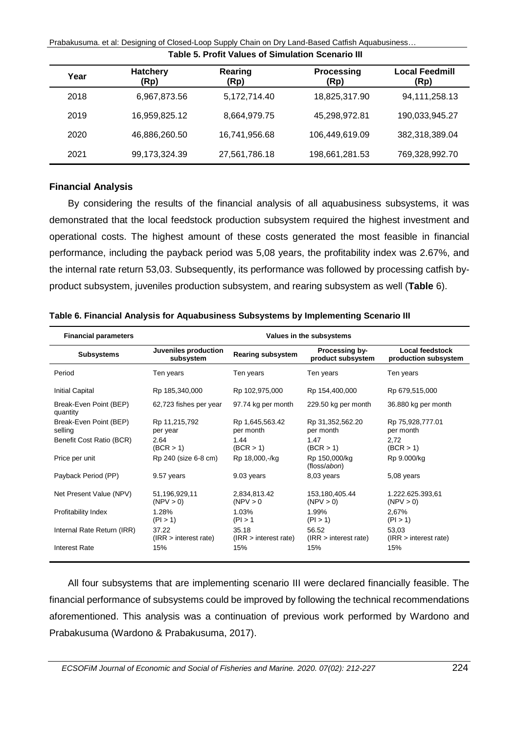| <b>Table 5. Profit Values of Simulation Scenario III</b> |                         |                 |                           |                               |  |  |  |
|----------------------------------------------------------|-------------------------|-----------------|---------------------------|-------------------------------|--|--|--|
| Year                                                     | <b>Hatchery</b><br>(Rp) | Rearing<br>(Rp) | <b>Processing</b><br>(Rp) | <b>Local Feedmill</b><br>(Rp) |  |  |  |
| 2018                                                     | 6,967,873.56            | 5,172,714.40    | 18,825,317.90             | 94,111,258.13                 |  |  |  |
| 2019                                                     | 16,959,825.12           | 8,664,979.75    | 45,298,972.81             | 190,033,945.27                |  |  |  |
| 2020                                                     | 46,886,260.50           | 16,741,956.68   | 106,449,619.09            | 382,318,389.04                |  |  |  |
| 2021                                                     | 99,173,324.39           | 27,561,786.18   | 198,661,281.53            | 769,328,992.70                |  |  |  |

Prabakusuma. et al: Designing of Closed-Loop Supply Chain on Dry Land-Based Catfish Aquabusiness…

## **Financial Analysis**

By considering the results of the financial analysis of all aquabusiness subsystems, it was demonstrated that the local feedstock production subsystem required the highest investment and operational costs. The highest amount of these costs generated the most feasible in financial performance, including the payback period was 5,08 years, the profitability index was 2.67%, and the internal rate return 53,03. Subsequently, its performance was followed by processing catfish byproduct subsystem, juveniles production subsystem, and rearing subsystem as well (**Table** 6).

| <b>Financial parameters</b>        | Values in the subsystems          |                                |                                     |                                         |  |
|------------------------------------|-----------------------------------|--------------------------------|-------------------------------------|-----------------------------------------|--|
| <b>Subsystems</b>                  | Juveniles production<br>subsystem | <b>Rearing subsystem</b>       | Processing by-<br>product subsystem | Local feedstock<br>production subsystem |  |
| Period                             | Ten years                         | Ten years                      | Ten years                           | Ten years                               |  |
| <b>Initial Capital</b>             | Rp 185,340,000                    | Rp 102,975,000                 | Rp 154,400,000                      | Rp 679,515,000                          |  |
| Break-Even Point (BEP)<br>quantity | 62,723 fishes per year            | 97.74 kg per month             | 229.50 kg per month                 | 36.880 kg per month                     |  |
| Break-Even Point (BEP)<br>selling  | Rp 11,215,792<br>per year         | Rp 1,645,563.42<br>per month   | Rp 31,352,562.20<br>per month       | Rp 75,928,777.01<br>per month           |  |
| Benefit Cost Ratio (BCR)           | 2.64<br>(BCR > 1)                 | 1.44<br>(BCR > 1)              | 1.47<br>(BCR > 1)                   | 2.72<br>(BCR > 1)                       |  |
| Price per unit                     | Rp 240 (size 6-8 cm)              | Rp 18,000,-/kg                 | Rp 150,000/kg<br>(floss/abon)       | Rp 9.000/kg                             |  |
| Payback Period (PP)                | 9.57 years                        | 9.03 years                     | 8,03 years                          | $5,08$ years                            |  |
| Net Present Value (NPV)            | 51,196,929,11<br>(NPV > 0)        | 2,834,813.42<br>(NPV > 0       | 153,180,405.44<br>(NPV > 0)         | 1.222.625.393.61<br>(NPV > 0)           |  |
| Profitability Index                | 1.28%<br>(PI > 1)                 | 1.03%<br>(PI > 1)              | 1.99%<br>(PI > 1)                   | 2.67%<br>(PI > 1)                       |  |
| Internal Rate Return (IRR)         | 37.22<br>(IRR > interest rate)    | 35.18<br>(IRR > interest rate) | 56.52<br>(IRR > interest rate)      | 53,03<br>(IRR > interest rate)          |  |
| <b>Interest Rate</b>               | 15%                               | 15%                            | 15%                                 | 15%                                     |  |

**Table 6. Financial Analysis for Aquabusiness Subsystems by Implementing Scenario III**

All four subsystems that are implementing scenario III were declared financially feasible. The financial performance of subsystems could be improved by following the technical recommendations aforementioned. This analysis was a continuation of previous work performed by Wardono and Prabakusuma (Wardono & Prabakusuma, 2017).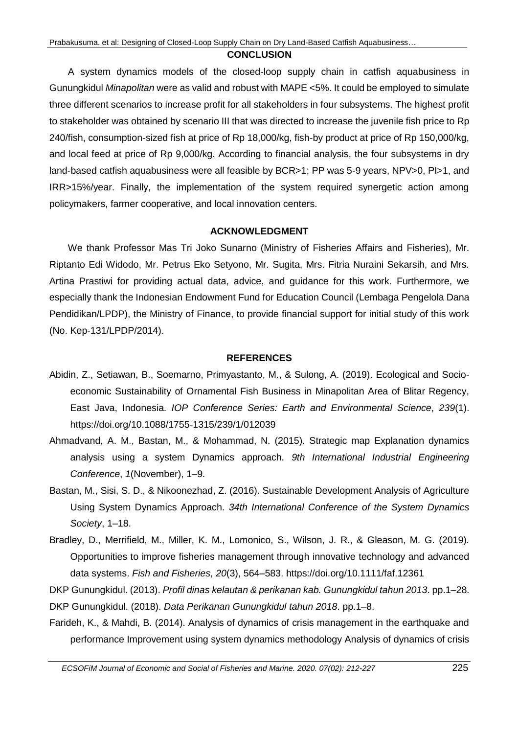#### **CONCLUSION**

A system dynamics models of the closed-loop supply chain in catfish aquabusiness in Gunungkidul *Minapolitan* were as valid and robust with MAPE <5%. It could be employed to simulate three different scenarios to increase profit for all stakeholders in four subsystems. The highest profit to stakeholder was obtained by scenario III that was directed to increase the juvenile fish price to Rp 240/fish, consumption-sized fish at price of Rp 18,000/kg, fish-by product at price of Rp 150,000/kg, and local feed at price of Rp 9,000/kg. According to financial analysis, the four subsystems in dry land-based catfish aquabusiness were all feasible by BCR>1; PP was 5-9 years, NPV>0, PI>1, and IRR>15%/year. Finally, the implementation of the system required synergetic action among policymakers, farmer cooperative, and local innovation centers.

## **ACKNOWLEDGMENT**

We thank Professor Mas Tri Joko Sunarno (Ministry of Fisheries Affairs and Fisheries), Mr. Riptanto Edi Widodo, Mr. Petrus Eko Setyono, Mr. Sugita, Mrs. Fitria Nuraini Sekarsih, and Mrs. Artina Prastiwi for providing actual data, advice, and guidance for this work. Furthermore, we especially thank the Indonesian Endowment Fund for Education Council (Lembaga Pengelola Dana Pendidikan/LPDP), the Ministry of Finance, to provide financial support for initial study of this work (No. Kep-131/LPDP/2014).

### **REFERENCES**

- Abidin, Z., Setiawan, B., Soemarno, Primyastanto, M., & Sulong, A. (2019). Ecological and Socioeconomic Sustainability of Ornamental Fish Business in Minapolitan Area of Blitar Regency, East Java, Indonesia. *IOP Conference Series: Earth and Environmental Science*, *239*(1). https://doi.org/10.1088/1755-1315/239/1/012039
- Ahmadvand, A. M., Bastan, M., & Mohammad, N. (2015). Strategic map Explanation dynamics analysis using a system Dynamics approach. *9th International Industrial Engineering Conference*, *1*(November), 1–9.
- Bastan, M., Sisi, S. D., & Nikoonezhad, Z. (2016). Sustainable Development Analysis of Agriculture Using System Dynamics Approach. *34th International Conference of the System Dynamics Society*, 1–18.
- Bradley, D., Merrifield, M., Miller, K. M., Lomonico, S., Wilson, J. R., & Gleason, M. G. (2019). Opportunities to improve fisheries management through innovative technology and advanced data systems. *Fish and Fisheries*, *20*(3), 564–583. https://doi.org/10.1111/faf.12361
- DKP Gunungkidul. (2013). *Profil dinas kelautan & perikanan kab. Gunungkidul tahun 2013*. pp.1–28.
- DKP Gunungkidul. (2018). *Data Perikanan Gunungkidul tahun 2018*. pp.1–8.
- Farideh, K., & Mahdi, B. (2014). Analysis of dynamics of crisis management in the earthquake and performance Improvement using system dynamics methodology Analysis of dynamics of crisis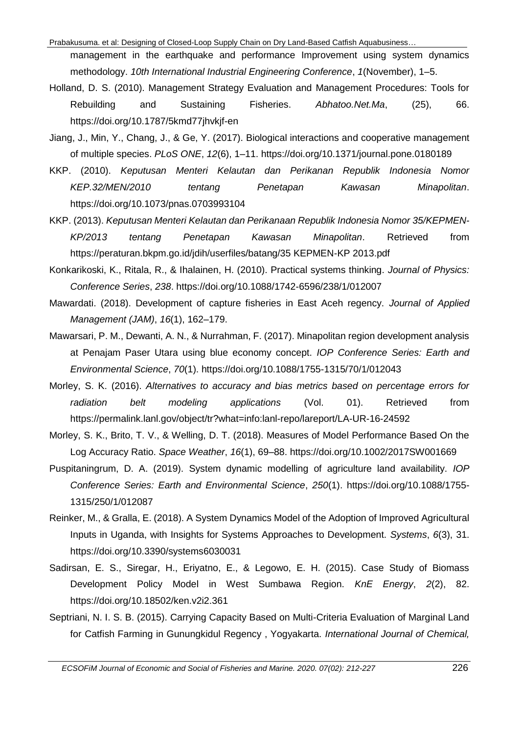- management in the earthquake and performance Improvement using system dynamics methodology. *10th International Industrial Engineering Conference*, *1*(November), 1–5.
- Holland, D. S. (2010). Management Strategy Evaluation and Management Procedures: Tools for Rebuilding and Sustaining Fisheries. *Abhatoo.Net.Ma*, (25), 66. https://doi.org/10.1787/5kmd77jhvkjf-en
- Jiang, J., Min, Y., Chang, J., & Ge, Y. (2017). Biological interactions and cooperative management of multiple species. *PLoS ONE*, *12*(6), 1–11. https://doi.org/10.1371/journal.pone.0180189
- KKP. (2010). *Keputusan Menteri Kelautan dan Perikanan Republik Indonesia Nomor KEP.32/MEN/2010 tentang Penetapan Kawasan Minapolitan*. https://doi.org/10.1073/pnas.0703993104
- KKP. (2013). *Keputusan Menteri Kelautan dan Perikanaan Republik Indonesia Nomor 35/KEPMEN-KP/2013 tentang Penetapan Kawasan Minapolitan*. Retrieved from https://peraturan.bkpm.go.id/jdih/userfiles/batang/35 KEPMEN-KP 2013.pdf
- Konkarikoski, K., Ritala, R., & Ihalainen, H. (2010). Practical systems thinking. *Journal of Physics: Conference Series*, *238*. https://doi.org/10.1088/1742-6596/238/1/012007
- Mawardati. (2018). Development of capture fisheries in East Aceh regency. *Journal of Applied Management (JAM)*, *16*(1), 162–179.
- Mawarsari, P. M., Dewanti, A. N., & Nurrahman, F. (2017). Minapolitan region development analysis at Penajam Paser Utara using blue economy concept. *IOP Conference Series: Earth and Environmental Science*, *70*(1). https://doi.org/10.1088/1755-1315/70/1/012043
- Morley, S. K. (2016). *Alternatives to accuracy and bias metrics based on percentage errors for radiation belt modeling applications* (Vol. 01). Retrieved from https://permalink.lanl.gov/object/tr?what=info:lanl-repo/lareport/LA-UR-16-24592
- Morley, S. K., Brito, T. V., & Welling, D. T. (2018). Measures of Model Performance Based On the Log Accuracy Ratio. *Space Weather*, *16*(1), 69–88. https://doi.org/10.1002/2017SW001669
- Puspitaningrum, D. A. (2019). System dynamic modelling of agriculture land availability. *IOP Conference Series: Earth and Environmental Science*, *250*(1). https://doi.org/10.1088/1755- 1315/250/1/012087
- Reinker, M., & Gralla, E. (2018). A System Dynamics Model of the Adoption of Improved Agricultural Inputs in Uganda, with Insights for Systems Approaches to Development. *Systems*, *6*(3), 31. https://doi.org/10.3390/systems6030031
- Sadirsan, E. S., Siregar, H., Eriyatno, E., & Legowo, E. H. (2015). Case Study of Biomass Development Policy Model in West Sumbawa Region. *KnE Energy*, *2*(2), 82. https://doi.org/10.18502/ken.v2i2.361
- Septriani, N. I. S. B. (2015). Carrying Capacity Based on Multi-Criteria Evaluation of Marginal Land for Catfish Farming in Gunungkidul Regency , Yogyakarta. *International Journal of Chemical,*